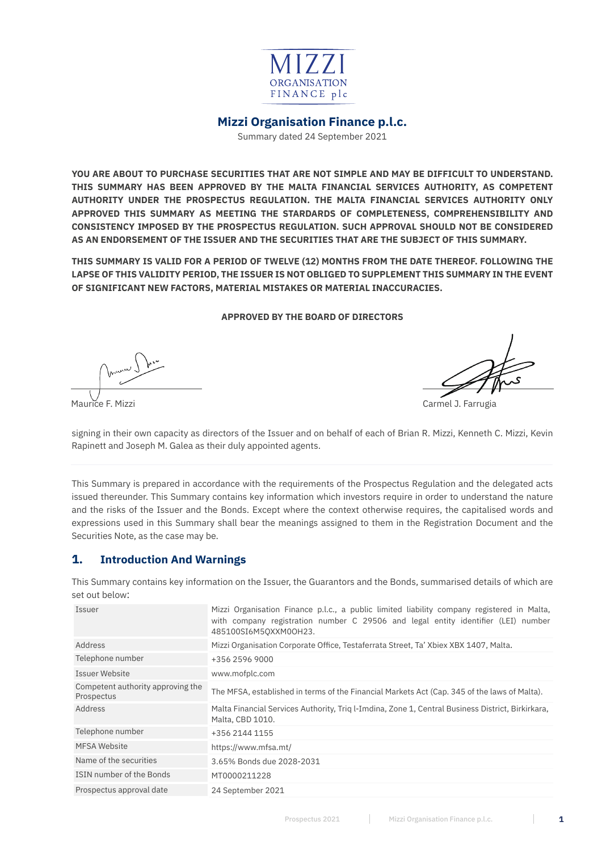

# **Mizzi Organisation Finance p.l.c.**

Summary dated 24 September 2021

**YOU ARE ABOUT TO PURCHASE SECURITIES THAT ARE NOT SIMPLE AND MAY BE DIFFICULT TO UNDERSTAND. THIS SUMMARY HAS BEEN APPROVED BY THE MALTA FINANCIAL SERVICES AUTHORITY, AS COMPETENT AUTHORITY UNDER THE PROSPECTUS REGULATION. THE MALTA FINANCIAL SERVICES AUTHORITY ONLY APPROVED THIS SUMMARY AS MEETING THE STARDARDS OF COMPLETENESS, COMPREHENSIBILITY AND CONSISTENCY IMPOSED BY THE PROSPECTUS REGULATION. SUCH APPROVAL SHOULD NOT BE CONSIDERED AS AN ENDORSEMENT OF THE ISSUER AND THE SECURITIES THAT ARE THE SUBJECT OF THIS SUMMARY.**

**THIS SUMMARY IS VALID FOR A PERIOD OF TWELVE (12) MONTHS FROM THE DATE THEREOF. FOLLOWING THE LAPSE OF THIS VALIDITY PERIOD, THE ISSUER IS NOT OBLIGED TO SUPPLEMENT THIS SUMMARY IN THE EVENT OF SIGNIFICANT NEW FACTORS, MATERIAL MISTAKES OR MATERIAL INACCURACIES.**

#### **APPROVED BY THE BOARD OF DIRECTORS**

Maurice F. Mizzi Carmel J. Farrugia

signing in their own capacity as directors of the Issuer and on behalf of each of Brian R. Mizzi, Kenneth C. Mizzi, Kevin Rapinett and Joseph M. Galea as their duly appointed agents.

This Summary is prepared in accordance with the requirements of the Prospectus Regulation and the delegated acts issued thereunder. This Summary contains key information which investors require in order to understand the nature and the risks of the Issuer and the Bonds. Except where the context otherwise requires, the capitalised words and expressions used in this Summary shall bear the meanings assigned to them in the Registration Document and the Securities Note, as the case may be.

# **1. Introduction And Warnings**

This Summary contains key information on the Issuer, the Guarantors and the Bonds, summarised details of which are set out below:

| Issuer                                          | Mizzi Organisation Finance p.l.c., a public limited liability company registered in Malta,<br>with company registration number C 29506 and legal entity identifier (LEI) number<br>485100SI6M50XXM0OH23. |
|-------------------------------------------------|----------------------------------------------------------------------------------------------------------------------------------------------------------------------------------------------------------|
| Address                                         | Mizzi Organisation Corporate Office, Testaferrata Street, Ta' Xbiex XBX 1407, Malta.                                                                                                                     |
| Telephone number                                | +356 2596 9000                                                                                                                                                                                           |
| Issuer Website                                  | www.mofplc.com                                                                                                                                                                                           |
| Competent authority approving the<br>Prospectus | The MFSA, established in terms of the Financial Markets Act (Cap. 345 of the laws of Malta).                                                                                                             |
| Address                                         | Malta Financial Services Authority, Triq l-Imdina, Zone 1, Central Business District, Birkirkara,<br>Malta, CBD 1010.                                                                                    |
| Telephone number                                | +356 2144 1155                                                                                                                                                                                           |
| <b>MFSA Website</b>                             | https://www.mfsa.mt/                                                                                                                                                                                     |
| Name of the securities                          | 3.65% Bonds due 2028-2031                                                                                                                                                                                |
| ISIN number of the Bonds                        | MT0000211228                                                                                                                                                                                             |
| Prospectus approval date                        | 24 September 2021                                                                                                                                                                                        |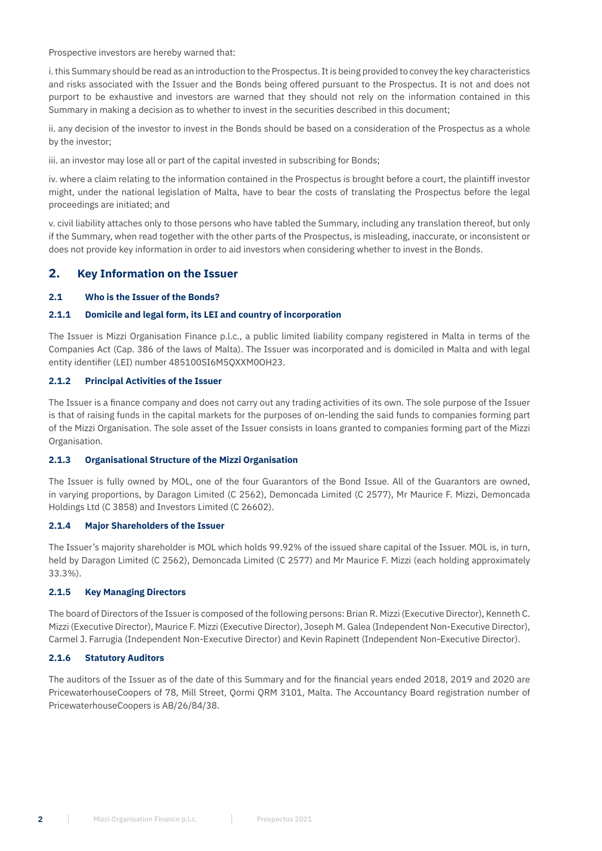Prospective investors are hereby warned that:

i. this Summary should be read as an introduction to the Prospectus. It is being provided to convey the key characteristics and risks associated with the Issuer and the Bonds being offered pursuant to the Prospectus. It is not and does not purport to be exhaustive and investors are warned that they should not rely on the information contained in this Summary in making a decision as to whether to invest in the securities described in this document;

ii. any decision of the investor to invest in the Bonds should be based on a consideration of the Prospectus as a whole by the investor;

iii. an investor may lose all or part of the capital invested in subscribing for Bonds;

iv. where a claim relating to the information contained in the Prospectus is brought before a court, the plaintiff investor might, under the national legislation of Malta, have to bear the costs of translating the Prospectus before the legal proceedings are initiated; and

v. civil liability attaches only to those persons who have tabled the Summary, including any translation thereof, but only if the Summary, when read together with the other parts of the Prospectus, is misleading, inaccurate, or inconsistent or does not provide key information in order to aid investors when considering whether to invest in the Bonds.

# **2. Key Information on the Issuer**

## **2.1 Who is the Issuer of the Bonds?**

## **2.1.1 Domicile and legal form, its LEI and country of incorporation**

The Issuer is Mizzi Organisation Finance p.l.c., a public limited liability company registered in Malta in terms of the Companies Act (Cap. 386 of the laws of Malta). The Issuer was incorporated and is domiciled in Malta and with legal entity identifier (LEI) number 485100SI6M5QXXM0OH23.

## **2.1.2 Principal Activities of the Issuer**

The Issuer is a finance company and does not carry out any trading activities of its own. The sole purpose of the Issuer is that of raising funds in the capital markets for the purposes of on-lending the said funds to companies forming part of the Mizzi Organisation. The sole asset of the Issuer consists in loans granted to companies forming part of the Mizzi Organisation.

## **2.1.3 Organisational Structure of the Mizzi Organisation**

The Issuer is fully owned by MOL, one of the four Guarantors of the Bond Issue. All of the Guarantors are owned, in varying proportions, by Daragon Limited (C 2562), Demoncada Limited (C 2577), Mr Maurice F. Mizzi, Demoncada Holdings Ltd (C 3858) and Investors Limited (C 26602).

## **2.1.4 Major Shareholders of the Issuer**

The Issuer's majority shareholder is MOL which holds 99.92% of the issued share capital of the Issuer. MOL is, in turn, held by Daragon Limited (C 2562), Demoncada Limited (C 2577) and Mr Maurice F. Mizzi (each holding approximately 33.3%).

## **2.1.5 Key Managing Directors**

The board of Directors of the Issuer is composed of the following persons: Brian R. Mizzi (Executive Director), Kenneth C. Mizzi (Executive Director), Maurice F. Mizzi (Executive Director), Joseph M. Galea (Independent Non-Executive Director), Carmel J. Farrugia (Independent Non-Executive Director) and Kevin Rapinett (Independent Non-Executive Director).

## **2.1.6 Statutory Auditors**

The auditors of the Issuer as of the date of this Summary and for the financial years ended 2018, 2019 and 2020 are PricewaterhouseCoopers of 78, Mill Street, Qormi QRM 3101, Malta. The Accountancy Board registration number of PricewaterhouseCoopers is AB/26/84/38.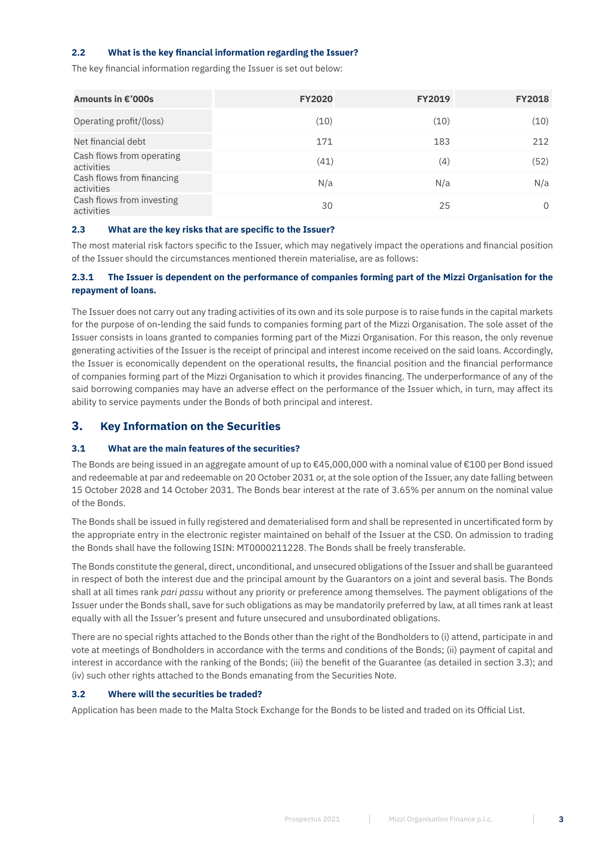## **2.2 What is the key financial information regarding the Issuer?**

The key financial information regarding the Issuer is set out below:

| Amounts in €'000s                       | <b>FY2020</b> | <b>FY2019</b> | <b>FY2018</b> |
|-----------------------------------------|---------------|---------------|---------------|
| Operating profit/(loss)                 | (10)          | (10)          | (10)          |
| Net financial debt                      | 171           | 183           | 212           |
| Cash flows from operating<br>activities | (41)          | (4)           | (52)          |
| Cash flows from financing<br>activities | N/a           | N/a           | N/a           |
| Cash flows from investing<br>activities | 30            | 25            | $\Omega$      |

## **2.3 What are the key risks that are specific to the Issuer?**

The most material risk factors specific to the Issuer, which may negatively impact the operations and financial position of the Issuer should the circumstances mentioned therein materialise, are as follows:

## **2.3.1 The Issuer is dependent on the performance of companies forming part of the Mizzi Organisation for the repayment of loans.**

The Issuer does not carry out any trading activities of its own and its sole purpose is to raise funds in the capital markets for the purpose of on-lending the said funds to companies forming part of the Mizzi Organisation. The sole asset of the Issuer consists in loans granted to companies forming part of the Mizzi Organisation. For this reason, the only revenue generating activities of the Issuer is the receipt of principal and interest income received on the said loans. Accordingly, the Issuer is economically dependent on the operational results, the financial position and the financial performance of companies forming part of the Mizzi Organisation to which it provides financing. The underperformance of any of the said borrowing companies may have an adverse effect on the performance of the Issuer which, in turn, may affect its ability to service payments under the Bonds of both principal and interest.

## **3. Key Information on the Securities**

## **3.1 What are the main features of the securities?**

The Bonds are being issued in an aggregate amount of up to €45,000,000 with a nominal value of €100 per Bond issued and redeemable at par and redeemable on 20 October 2031 or, at the sole option of the Issuer, any date falling between 15 October 2028 and 14 October 2031. The Bonds bear interest at the rate of 3.65% per annum on the nominal value of the Bonds.

The Bonds shall be issued in fully registered and dematerialised form and shall be represented in uncertificated form by the appropriate entry in the electronic register maintained on behalf of the Issuer at the CSD. On admission to trading the Bonds shall have the following ISIN: MT0000211228. The Bonds shall be freely transferable.

The Bonds constitute the general, direct, unconditional, and unsecured obligations of the Issuer and shall be guaranteed in respect of both the interest due and the principal amount by the Guarantors on a joint and several basis. The Bonds shall at all times rank *pari passu* without any priority or preference among themselves. The payment obligations of the Issuer under the Bonds shall, save for such obligations as may be mandatorily preferred by law, at all times rank at least equally with all the Issuer's present and future unsecured and unsubordinated obligations.

There are no special rights attached to the Bonds other than the right of the Bondholders to (i) attend, participate in and vote at meetings of Bondholders in accordance with the terms and conditions of the Bonds; (ii) payment of capital and interest in accordance with the ranking of the Bonds; (iii) the benefit of the Guarantee (as detailed in section 3.3); and (iv) such other rights attached to the Bonds emanating from the Securities Note.

## **3.2 Where will the securities be traded?**

Application has been made to the Malta Stock Exchange for the Bonds to be listed and traded on its Official List.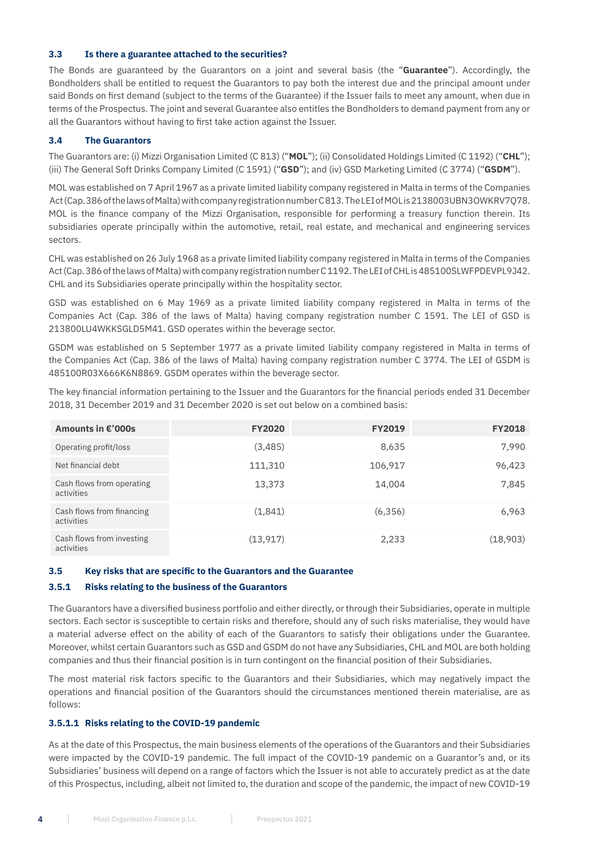#### **3.3 Is there a guarantee attached to the securities?**

The Bonds are guaranteed by the Guarantors on a joint and several basis (the "**Guarantee**"). Accordingly, the Bondholders shall be entitled to request the Guarantors to pay both the interest due and the principal amount under said Bonds on first demand (subject to the terms of the Guarantee) if the Issuer fails to meet any amount, when due in terms of the Prospectus. The joint and several Guarantee also entitles the Bondholders to demand payment from any or all the Guarantors without having to first take action against the Issuer.

## **3.4 The Guarantors**

The Guarantors are: (i) Mizzi Organisation Limited (C 813) ("**MOL**"); (ii) Consolidated Holdings Limited (C 1192) ("**CHL**"); (iii) The General Soft Drinks Company Limited (C 1591) ("**GSD**"); and (iv) GSD Marketing Limited (C 3774) ("**GSDM**").

MOL was established on 7 April 1967 as a private limited liability company registered in Malta in terms of the Companies Act (Cap. 386 of the laws of Malta) with company registration number C 813. The LEI of MOL is 2138003UBN3OWKRV7Q78. MOL is the finance company of the Mizzi Organisation, responsible for performing a treasury function therein. Its subsidiaries operate principally within the automotive, retail, real estate, and mechanical and engineering services sectors.

CHL was established on 26 July 1968 as a private limited liability company registered in Malta in terms of the Companies Act (Cap. 386 of the laws of Malta) with company registration number C 1192. The LEI of CHL is 485100SLWFPDEVPL9J42. CHL and its Subsidiaries operate principally within the hospitality sector.

GSD was established on 6 May 1969 as a private limited liability company registered in Malta in terms of the Companies Act (Cap. 386 of the laws of Malta) having company registration number C 1591. The LEI of GSD is 213800LU4WKKSGLD5M41. GSD operates within the beverage sector.

GSDM was established on 5 September 1977 as a private limited liability company registered in Malta in terms of the Companies Act (Cap. 386 of the laws of Malta) having company registration number C 3774. The LEI of GSDM is 485100R03X666K6N8869. GSDM operates within the beverage sector.

The key financial information pertaining to the Issuer and the Guarantors for the financial periods ended 31 December 2018, 31 December 2019 and 31 December 2020 is set out below on a combined basis:

| Amounts in €'000s                       | <b>FY2020</b> | <b>FY2019</b> | <b>FY2018</b> |
|-----------------------------------------|---------------|---------------|---------------|
| Operating profit/loss                   | (3,485)       | 8,635         | 7,990         |
| Net financial debt                      | 111,310       | 106,917       | 96,423        |
| Cash flows from operating<br>activities | 13,373        | 14,004        | 7,845         |
| Cash flows from financing<br>activities | (1,841)       | (6,356)       | 6,963         |
| Cash flows from investing<br>activities | (13, 917)     | 2,233         | (18,903)      |

## **3.5 Key risks that are specific to the Guarantors and the Guarantee**

## **3.5.1 Risks relating to the business of the Guarantors**

The Guarantors have a diversified business portfolio and either directly, or through their Subsidiaries, operate in multiple sectors. Each sector is susceptible to certain risks and therefore, should any of such risks materialise, they would have a material adverse effect on the ability of each of the Guarantors to satisfy their obligations under the Guarantee. Moreover, whilst certain Guarantors such as GSD and GSDM do not have any Subsidiaries, CHL and MOL are both holding companies and thus their financial position is in turn contingent on the financial position of their Subsidiaries.

The most material risk factors specific to the Guarantors and their Subsidiaries, which may negatively impact the operations and financial position of the Guarantors should the circumstances mentioned therein materialise, are as follows:

## **3.5.1.1 Risks relating to the COVID-19 pandemic**

As at the date of this Prospectus, the main business elements of the operations of the Guarantors and their Subsidiaries were impacted by the COVID-19 pandemic. The full impact of the COVID-19 pandemic on a Guarantor's and, or its Subsidiaries' business will depend on a range of factors which the Issuer is not able to accurately predict as at the date of this Prospectus, including, albeit not limited to, the duration and scope of the pandemic, the impact of new COVID-19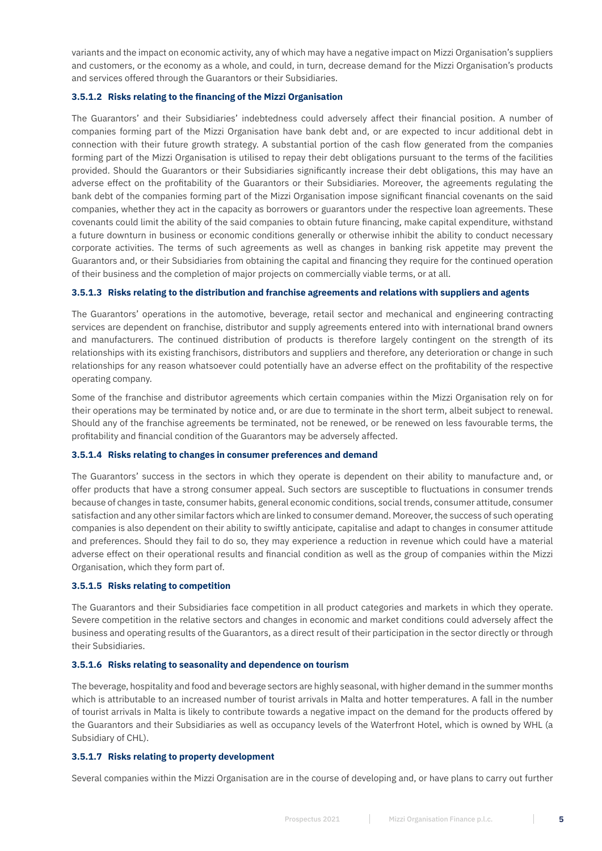variants and the impact on economic activity, any of which may have a negative impact on Mizzi Organisation's suppliers and customers, or the economy as a whole, and could, in turn, decrease demand for the Mizzi Organisation's products and services offered through the Guarantors or their Subsidiaries.

## **3.5.1.2 Risks relating to the financing of the Mizzi Organisation**

The Guarantors' and their Subsidiaries' indebtedness could adversely affect their financial position. A number of companies forming part of the Mizzi Organisation have bank debt and, or are expected to incur additional debt in connection with their future growth strategy. A substantial portion of the cash flow generated from the companies forming part of the Mizzi Organisation is utilised to repay their debt obligations pursuant to the terms of the facilities provided. Should the Guarantors or their Subsidiaries significantly increase their debt obligations, this may have an adverse effect on the profitability of the Guarantors or their Subsidiaries. Moreover, the agreements regulating the bank debt of the companies forming part of the Mizzi Organisation impose significant financial covenants on the said companies, whether they act in the capacity as borrowers or guarantors under the respective loan agreements. These covenants could limit the ability of the said companies to obtain future financing, make capital expenditure, withstand a future downturn in business or economic conditions generally or otherwise inhibit the ability to conduct necessary corporate activities. The terms of such agreements as well as changes in banking risk appetite may prevent the Guarantors and, or their Subsidiaries from obtaining the capital and financing they require for the continued operation of their business and the completion of major projects on commercially viable terms, or at all.

## **3.5.1.3 Risks relating to the distribution and franchise agreements and relations with suppliers and agents**

The Guarantors' operations in the automotive, beverage, retail sector and mechanical and engineering contracting services are dependent on franchise, distributor and supply agreements entered into with international brand owners and manufacturers. The continued distribution of products is therefore largely contingent on the strength of its relationships with its existing franchisors, distributors and suppliers and therefore, any deterioration or change in such relationships for any reason whatsoever could potentially have an adverse effect on the profitability of the respective operating company.

Some of the franchise and distributor agreements which certain companies within the Mizzi Organisation rely on for their operations may be terminated by notice and, or are due to terminate in the short term, albeit subject to renewal. Should any of the franchise agreements be terminated, not be renewed, or be renewed on less favourable terms, the profitability and financial condition of the Guarantors may be adversely affected.

#### **3.5.1.4 Risks relating to changes in consumer preferences and demand**

The Guarantors' success in the sectors in which they operate is dependent on their ability to manufacture and, or offer products that have a strong consumer appeal. Such sectors are susceptible to fluctuations in consumer trends because of changes in taste, consumer habits, general economic conditions, social trends, consumer attitude, consumer satisfaction and any other similar factors which are linked to consumer demand. Moreover, the success of such operating companies is also dependent on their ability to swiftly anticipate, capitalise and adapt to changes in consumer attitude and preferences. Should they fail to do so, they may experience a reduction in revenue which could have a material adverse effect on their operational results and financial condition as well as the group of companies within the Mizzi Organisation, which they form part of.

#### **3.5.1.5 Risks relating to competition**

The Guarantors and their Subsidiaries face competition in all product categories and markets in which they operate. Severe competition in the relative sectors and changes in economic and market conditions could adversely affect the business and operating results of the Guarantors, as a direct result of their participation in the sector directly or through their Subsidiaries.

#### **3.5.1.6 Risks relating to seasonality and dependence on tourism**

The beverage, hospitality and food and beverage sectors are highly seasonal, with higher demand in the summer months which is attributable to an increased number of tourist arrivals in Malta and hotter temperatures. A fall in the number of tourist arrivals in Malta is likely to contribute towards a negative impact on the demand for the products offered by the Guarantors and their Subsidiaries as well as occupancy levels of the Waterfront Hotel, which is owned by WHL (a Subsidiary of CHL).

#### **3.5.1.7 Risks relating to property development**

Several companies within the Mizzi Organisation are in the course of developing and, or have plans to carry out further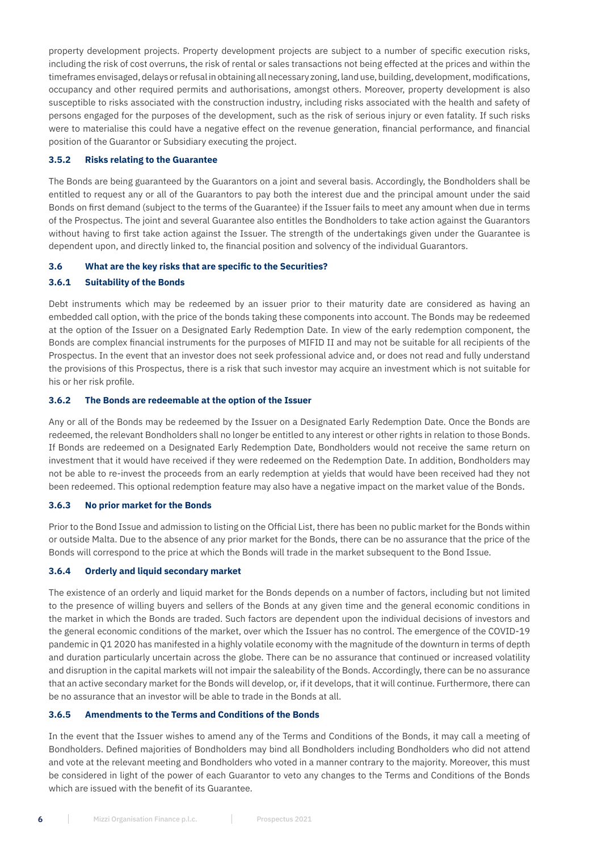property development projects. Property development projects are subject to a number of specific execution risks, including the risk of cost overruns, the risk of rental or sales transactions not being effected at the prices and within the timeframes envisaged, delays or refusal in obtaining all necessary zoning, land use, building, development, modifications, occupancy and other required permits and authorisations, amongst others. Moreover, property development is also susceptible to risks associated with the construction industry, including risks associated with the health and safety of persons engaged for the purposes of the development, such as the risk of serious injury or even fatality. If such risks were to materialise this could have a negative effect on the revenue generation, financial performance, and financial position of the Guarantor or Subsidiary executing the project.

## **3.5.2 Risks relating to the Guarantee**

The Bonds are being guaranteed by the Guarantors on a joint and several basis. Accordingly, the Bondholders shall be entitled to request any or all of the Guarantors to pay both the interest due and the principal amount under the said Bonds on first demand (subject to the terms of the Guarantee) if the Issuer fails to meet any amount when due in terms of the Prospectus. The joint and several Guarantee also entitles the Bondholders to take action against the Guarantors without having to first take action against the Issuer. The strength of the undertakings given under the Guarantee is dependent upon, and directly linked to, the financial position and solvency of the individual Guarantors.

#### **3.6 What are the key risks that are specific to the Securities?**

## **3.6.1 Suitability of the Bonds**

Debt instruments which may be redeemed by an issuer prior to their maturity date are considered as having an embedded call option, with the price of the bonds taking these components into account. The Bonds may be redeemed at the option of the Issuer on a Designated Early Redemption Date. In view of the early redemption component, the Bonds are complex financial instruments for the purposes of MIFID II and may not be suitable for all recipients of the Prospectus. In the event that an investor does not seek professional advice and, or does not read and fully understand the provisions of this Prospectus, there is a risk that such investor may acquire an investment which is not suitable for his or her risk profile.

#### **3.6.2 The Bonds are redeemable at the option of the Issuer**

Any or all of the Bonds may be redeemed by the Issuer on a Designated Early Redemption Date. Once the Bonds are redeemed, the relevant Bondholders shall no longer be entitled to any interest or other rights in relation to those Bonds. If Bonds are redeemed on a Designated Early Redemption Date, Bondholders would not receive the same return on investment that it would have received if they were redeemed on the Redemption Date. In addition, Bondholders may not be able to re-invest the proceeds from an early redemption at yields that would have been received had they not been redeemed. This optional redemption feature may also have a negative impact on the market value of the Bonds.

#### **3.6.3 No prior market for the Bonds**

Prior to the Bond Issue and admission to listing on the Official List, there has been no public market for the Bonds within or outside Malta. Due to the absence of any prior market for the Bonds, there can be no assurance that the price of the Bonds will correspond to the price at which the Bonds will trade in the market subsequent to the Bond Issue.

### **3.6.4 Orderly and liquid secondary market**

The existence of an orderly and liquid market for the Bonds depends on a number of factors, including but not limited to the presence of willing buyers and sellers of the Bonds at any given time and the general economic conditions in the market in which the Bonds are traded. Such factors are dependent upon the individual decisions of investors and the general economic conditions of the market, over which the Issuer has no control. The emergence of the COVID-19 pandemic in Q1 2020 has manifested in a highly volatile economy with the magnitude of the downturn in terms of depth and duration particularly uncertain across the globe. There can be no assurance that continued or increased volatility and disruption in the capital markets will not impair the saleability of the Bonds. Accordingly, there can be no assurance that an active secondary market for the Bonds will develop, or, if it develops, that it will continue. Furthermore, there can be no assurance that an investor will be able to trade in the Bonds at all.

## **3.6.5 Amendments to the Terms and Conditions of the Bonds**

In the event that the Issuer wishes to amend any of the Terms and Conditions of the Bonds, it may call a meeting of Bondholders. Defined majorities of Bondholders may bind all Bondholders including Bondholders who did not attend and vote at the relevant meeting and Bondholders who voted in a manner contrary to the majority. Moreover, this must be considered in light of the power of each Guarantor to veto any changes to the Terms and Conditions of the Bonds which are issued with the benefit of its Guarantee.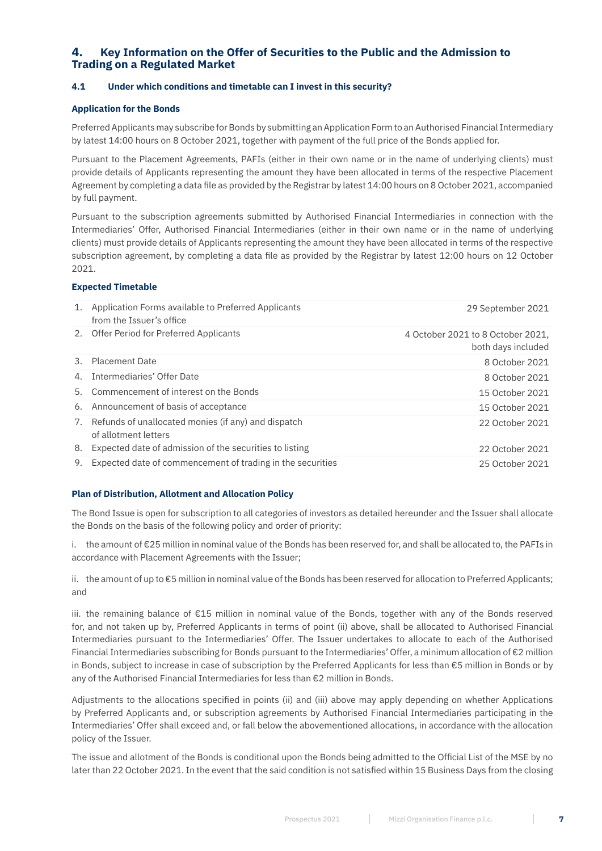# **4. Key Information on the Offer of Securities to the Public and the Admission to Trading on a Regulated Market**

## **4.1 Under which conditions and timetable can I invest in this security?**

## **Application for the Bonds**

Preferred Applicants may subscribe for Bonds by submitting an Application Form to an Authorised Financial Intermediary by latest 14:00 hours on 8 October 2021, together with payment of the full price of the Bonds applied for.

Pursuant to the Placement Agreements, PAFIs (either in their own name or in the name of underlying clients) must provide details of Applicants representing the amount they have been allocated in terms of the respective Placement Agreement by completing a data file as provided by the Registrar by latest 14:00 hours on 8 October 2021, accompanied by full payment.

Pursuant to the subscription agreements submitted by Authorised Financial Intermediaries in connection with the Intermediaries' Offer, Authorised Financial Intermediaries (either in their own name or in the name of underlying clients) must provide details of Applicants representing the amount they have been allocated in terms of the respective subscription agreement, by completing a data file as provided by the Registrar by latest 12:00 hours on 12 October 2021.

## **Expected Timetable**

| 1. | Application Forms available to Preferred Applicants<br>from the Issuer's office | 29 September 2021                                       |
|----|---------------------------------------------------------------------------------|---------------------------------------------------------|
|    | 2. Offer Period for Preferred Applicants                                        | 4 October 2021 to 8 October 2021,<br>both days included |
|    | 3. Placement Date                                                               | 8 October 2021                                          |
|    | 4. Intermediaries' Offer Date                                                   | 8 October 2021                                          |
|    | 5. Commencement of interest on the Bonds                                        | 15 October 2021                                         |
|    | 6. Announcement of basis of acceptance                                          | 15 October 2021                                         |
|    | 7. Refunds of unallocated monies (if any) and dispatch<br>of allotment letters  | 22 October 2021                                         |
| 8. | Expected date of admission of the securities to listing                         | 22 October 2021                                         |
| 9. | Expected date of commencement of trading in the securities                      | 25 October 2021                                         |

## **Plan of Distribution, Allotment and Allocation Policy**

The Bond Issue is open for subscription to all categories of investors as detailed hereunder and the Issuer shall allocate the Bonds on the basis of the following policy and order of priority:

i. the amount of €25 million in nominal value of the Bonds has been reserved for, and shall be allocated to, the PAFIs in accordance with Placement Agreements with the Issuer;

ii. the amount of up to €5 million in nominal value of the Bonds has been reserved for allocation to Preferred Applicants; and

iii. the remaining balance of €15 million in nominal value of the Bonds, together with any of the Bonds reserved for, and not taken up by, Preferred Applicants in terms of point (ii) above, shall be allocated to Authorised Financial Intermediaries pursuant to the Intermediaries' Offer. The Issuer undertakes to allocate to each of the Authorised Financial Intermediaries subscribing for Bonds pursuant to the Intermediaries' Offer, a minimum allocation of €2 million in Bonds, subject to increase in case of subscription by the Preferred Applicants for less than €5 million in Bonds or by any of the Authorised Financial Intermediaries for less than €2 million in Bonds.

Adjustments to the allocations specified in points (ii) and (iii) above may apply depending on whether Applications by Preferred Applicants and, or subscription agreements by Authorised Financial Intermediaries participating in the Intermediaries' Offer shall exceed and, or fall below the abovementioned allocations, in accordance with the allocation policy of the Issuer.

The issue and allotment of the Bonds is conditional upon the Bonds being admitted to the Official List of the MSE by no later than 22 October 2021. In the event that the said condition is not satisfied within 15 Business Days from the closing